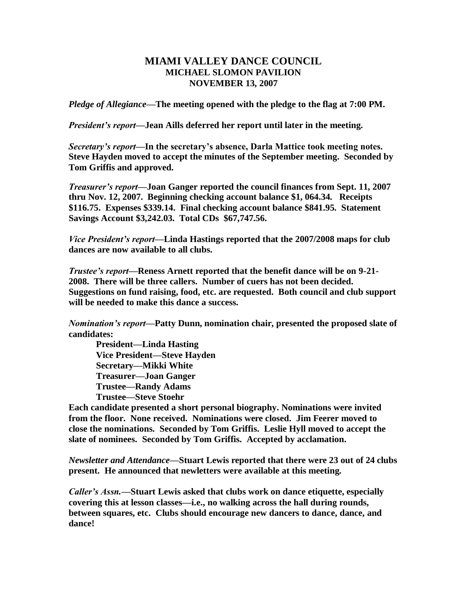## **MIAMI VALLEY DANCE COUNCIL MICHAEL SLOMON PAVILION NOVEMBER 13, 2007**

*Pledge of Allegiance—***The meeting opened with the pledge to the flag at 7:00 PM.**

*President's report—***Jean Aills deferred her report until later in the meeting.**

*Secretary's report—***In the secretary's absence, Darla Mattice took meeting notes. Steve Hayden moved to accept the minutes of the September meeting. Seconded by Tom Griffis and approved.**

*Treasurer's report—***Joan Ganger reported the council finances from Sept. 11, 2007 thru Nov. 12, 2007. Beginning checking account balance \$1, 064.34. Receipts \$116.75. Expenses \$339.14. Final checking account balance \$841.95. Statement Savings Account \$3,242.03. Total CDs \$67,747.56.**

*Vice President's report—***Linda Hastings reported that the 2007/2008 maps for club dances are now available to all clubs.**

*Trustee's report—***Reness Arnett reported that the benefit dance will be on 9-21- 2008. There will be three callers. Number of cuers has not been decided. Suggestions on fund raising, food, etc. are requested. Both council and club support will be needed to make this dance a success.**

*Nomination's report***—Patty Dunn, nomination chair, presented the proposed slate of candidates:**

**President—Linda Hasting Vice President—Steve Hayden Secretary—Mikki White Treasurer—Joan Ganger Trustee—Randy Adams Trustee—Steve Stoehr**

**Each candidate presented a short personal biography. Nominations were invited from the floor. None received. Nominations were closed. Jim Feerer moved to close the nominations. Seconded by Tom Griffis. Leslie Hyll moved to accept the slate of nominees. Seconded by Tom Griffis. Accepted by acclamation.**

*Newsletter and Attendance—***Stuart Lewis reported that there were 23 out of 24 clubs present. He announced that newletters were available at this meeting.**

*Caller's Assn.—***Stuart Lewis asked that clubs work on dance etiquette, especially covering this at lesson classes—i.e., no walking across the hall during rounds, between squares, etc. Clubs should encourage new dancers to dance, dance, and dance!**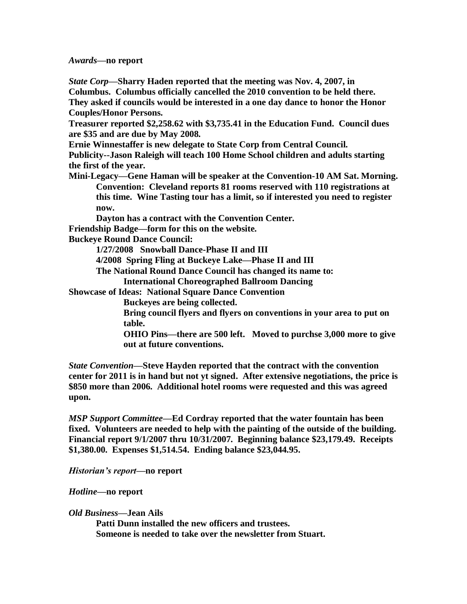*Awards—***no report**

*State Corp—***Sharry Haden reported that the meeting was Nov. 4, 2007, in Columbus. Columbus officially cancelled the 2010 convention to be held there. They asked if councils would be interested in a one day dance to honor the Honor** 

**Couples/Honor Persons.**

**Treasurer reported \$2,258.62 with \$3,735.41 in the Education Fund. Council dues are \$35 and are due by May 2008.**

**Ernie Winnestaffer is new delegate to State Corp from Central Council.**

**Publicity--Jason Raleigh will teach 100 Home School children and adults starting the first of the year.**

**Mini-Legacy—Gene Haman will be speaker at the Convention-10 AM Sat. Morning. Convention: Cleveland reports 81 rooms reserved with 110 registrations at this time. Wine Tasting tour has a limit, so if interested you need to register now.**

**Dayton has a contract with the Convention Center.**

**Friendship Badge—form for this on the website.**

**Buckeye Round Dance Council:**

**1/27/2008 Snowball Dance-Phase II and III**

**4/2008 Spring Fling at Buckeye Lake—Phase II and III**

**The National Round Dance Council has changed its name to:** 

**International Choreographed Ballroom Dancing**

**Showcase of Ideas: National Square Dance Convention**

**Buckeyes are being collected.**

**Bring council flyers and flyers on conventions in your area to put on table.** 

**OHIO Pins—there are 500 left. Moved to purchse 3,000 more to give out at future conventions.**

*State Convention—***Steve Hayden reported that the contract with the convention center for 2011 is in hand but not yt signed. After extensive negotiations, the price is \$850 more than 2006. Additional hotel rooms were requested and this was agreed upon.**

*MSP Support Committee—***Ed Cordray reported that the water fountain has been fixed. Volunteers are needed to help with the painting of the outside of the building. Financial report 9/1/2007 thru 10/31/2007. Beginning balance \$23,179.49. Receipts \$1,380.00. Expenses \$1,514.54. Ending balance \$23,044.95.**

*Historian's report—***no report**

*Hotline***—no report**

## *Old Business—***Jean Ails**

**Patti Dunn installed the new officers and trustees. Someone is needed to take over the newsletter from Stuart.**